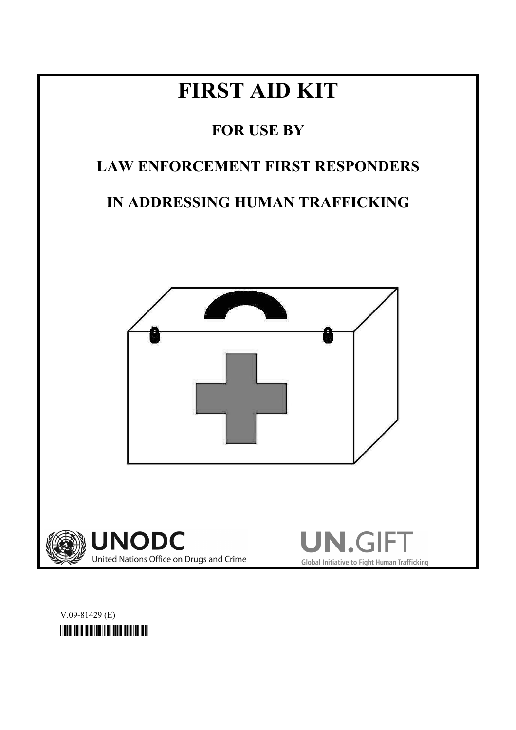# **FIRST AID KIT**

# **FOR USE BY**

# **LAW ENFORCEMENT FIRST RESPONDERS**

# **IN ADDRESSING HUMAN TRAFFICKING**



V.09-81429 (E)

*\*0981429\**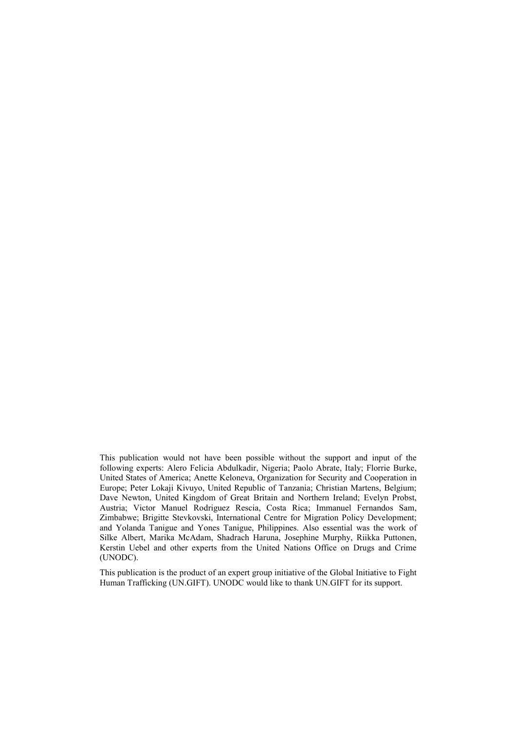This publication is the product of an expert group initiative of the Global Initiative to Fight Human Trafficking (UN.GIFT). UNODC would like to thank UN.GIFT for its support.

This publication would not have been possible without the support and input of the following experts: Alero Felicia Abdulkadir, Nigeria; Paolo Abrate, Italy; Florrie Burke, United States of America; Anette Keloneva, Organization for Security and Cooperation in Europe; Peter Lokaji Kivuyo, United Republic of Tanzania; Christian Martens, Belgium; Dave Newton, United Kingdom of Great Britain and Northern Ireland; Evelyn Probst, Austria; Victor Manuel Rodriguez Rescia, Costa Rica; Immanuel Fernandos Sam, Zimbabwe; Brigitte Stevkovski, International Centre for Migration Policy Development; and Yolanda Tanigue and Yones Tanigue, Philippines. Also essential was the work of Silke Albert, Marika McAdam, Shadrach Haruna, Josephine Murphy, Riikka Puttonen, Kerstin Uebel and other experts from the United Nations Office on Drugs and Crime (UNODC).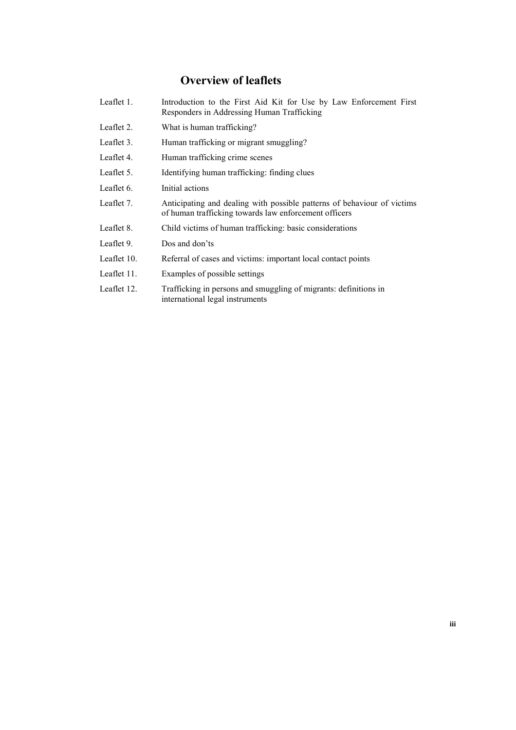# **Overview of leaflets**

| Leaflet 1.  | Introduction to the First Aid Kit for Use by Law Enforcement First<br>Responders in Addressing Human Trafficking                 |  |
|-------------|----------------------------------------------------------------------------------------------------------------------------------|--|
| Leaflet 2.  | What is human trafficking?                                                                                                       |  |
| Leaflet 3.  | Human trafficking or migrant smuggling?                                                                                          |  |
| Leaflet 4.  | Human trafficking crime scenes                                                                                                   |  |
| Leaflet 5.  | Identifying human trafficking: finding clues                                                                                     |  |
| Leaflet 6.  | Initial actions                                                                                                                  |  |
| Leaflet 7.  | Anticipating and dealing with possible patterns of behaviour of victims<br>of human trafficking towards law enforcement officers |  |
| Leaflet 8.  | Child victims of human trafficking: basic considerations                                                                         |  |
| Leaflet 9.  | Dos and don'ts                                                                                                                   |  |
| Leaflet 10. | Referral of cases and victims: important local contact points                                                                    |  |
| Leaflet 11. | Examples of possible settings                                                                                                    |  |
| Leaflet 12. | Trafficking in persons and smuggling of migrants: definitions in<br>international legal instruments                              |  |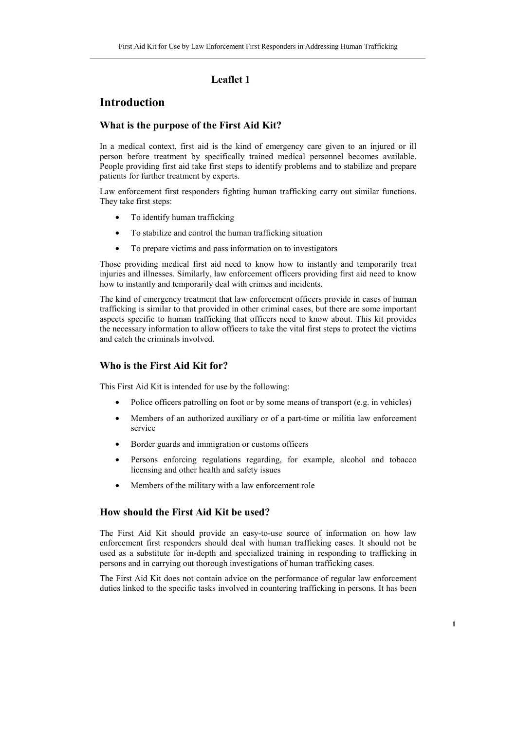# **Introduction**

#### **What is the purpose of the First Aid Kit?**

In a medical context, first aid is the kind of emergency care given to an injured or ill person before treatment by specifically trained medical personnel becomes available. People providing first aid take first steps to identify problems and to stabilize and prepare patients for further treatment by experts.

Law enforcement first responders fighting human trafficking carry out similar functions. They take first steps:

- To identify human trafficking
- To stabilize and control the human trafficking situation
- To prepare victims and pass information on to investigators

Those providing medical first aid need to know how to instantly and temporarily treat injuries and illnesses. Similarly, law enforcement officers providing first aid need to know how to instantly and temporarily deal with crimes and incidents.

The kind of emergency treatment that law enforcement officers provide in cases of human trafficking is similar to that provided in other criminal cases, but there are some important aspects specific to human trafficking that officers need to know about. This kit provides the necessary information to allow officers to take the vital first steps to protect the victims and catch the criminals involved.

#### **Who is the First Aid Kit for?**

This First Aid Kit is intended for use by the following:

- Police officers patrolling on foot or by some means of transport (e.g. in vehicles)
- Members of an authorized auxiliary or of a part-time or militia law enforcement service
- Border guards and immigration or customs officers
- Persons enforcing regulations regarding, for example, alcohol and tobacco licensing and other health and safety issues
- Members of the military with a law enforcement role

#### **How should the First Aid Kit be used?**

The First Aid Kit should provide an easy-to-use source of information on how law enforcement first responders should deal with human trafficking cases. It should not be used as a substitute for in-depth and specialized training in responding to trafficking in persons and in carrying out thorough investigations of human trafficking cases.

The First Aid Kit does not contain advice on the performance of regular law enforcement duties linked to the specific tasks involved in countering trafficking in persons. It has been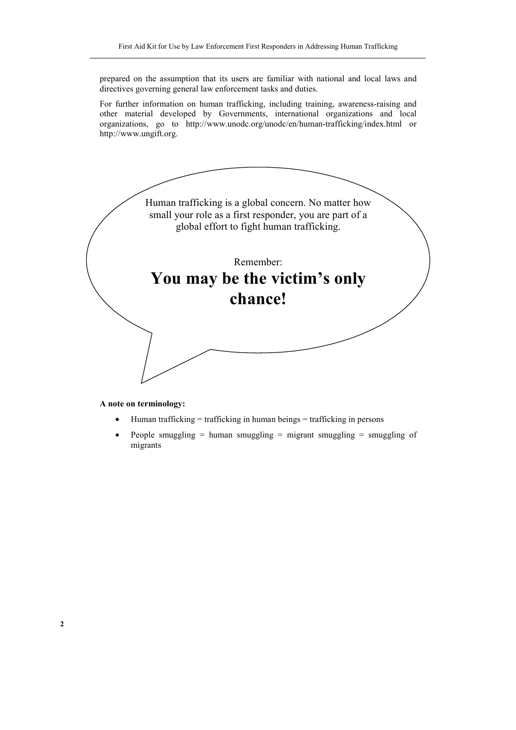prepared on the assumption that its users are familiar with national and local laws and directives governing general law enforcement tasks and duties.

For further information on human trafficking, including training, awareness-raising and other material developed by Governments, international organizations and local organizations, go to http://www.unodc.org/unodc/en/human-trafficking/index.html or http://www.ungift.org.

Human trafficking is a global concern. No matter how small your role as a first responder, you are part of a global effort to fight human trafficking. Remember: **You may be the victim's only chance!**

**A note on terminology:** 

- Human trafficking = trafficking in human beings = trafficking in persons
- People smuggling = human smuggling = migrant smuggling = smuggling of migrants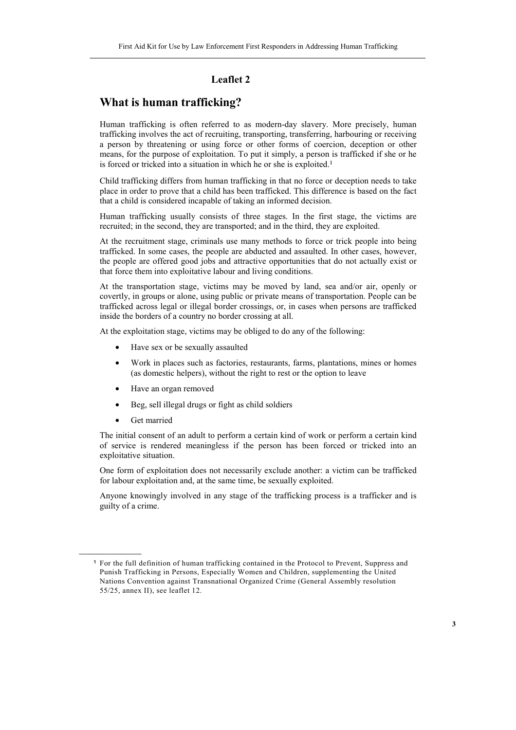## **What is human trafficking?**

Human trafficking is often referred to as modern-day slavery. More precisely, human trafficking involves the act of recruiting, transporting, transferring, harbouring or receiving a person by threatening or using force or other forms of coercion, deception or other means, for the purpose of exploitation. To put it simply, a person is trafficked if she or he is forced or tricked into a situation in which he or she is exploited.1

Child trafficking differs from human trafficking in that no force or deception needs to take place in order to prove that a child has been trafficked. This difference is based on the fact that a child is considered incapable of taking an informed decision.

Human trafficking usually consists of three stages. In the first stage, the victims are recruited; in the second, they are transported; and in the third, they are exploited.

At the recruitment stage, criminals use many methods to force or trick people into being trafficked. In some cases, the people are abducted and assaulted. In other cases, however, the people are offered good jobs and attractive opportunities that do not actually exist or that force them into exploitative labour and living conditions.

At the transportation stage, victims may be moved by land, sea and/or air, openly or covertly, in groups or alone, using public or private means of transportation. People can be trafficked across legal or illegal border crossings, or, in cases when persons are trafficked inside the borders of a country no border crossing at all.

At the exploitation stage, victims may be obliged to do any of the following:

- Have sex or be sexually assaulted
- Work in places such as factories, restaurants, farms, plantations, mines or homes (as domestic helpers), without the right to rest or the option to leave
- Have an organ removed
- Beg, sell illegal drugs or fight as child soldiers
- Get married

**\_\_\_\_\_\_\_\_\_\_\_\_\_\_\_\_\_\_** 

The initial consent of an adult to perform a certain kind of work or perform a certain kind of service is rendered meaningless if the person has been forced or tricked into an exploitative situation.

One form of exploitation does not necessarily exclude another: a victim can be trafficked for labour exploitation and, at the same time, be sexually exploited.

Anyone knowingly involved in any stage of the trafficking process is a trafficker and is guilty of a crime.

<sup>1</sup> For the full definition of human trafficking contained in the Protocol to Prevent, Suppress and Punish Trafficking in Persons, Especially Women and Children, supplementing the United Nations Convention against Transnational Organized Crime (General Assembly resolution 55/25, annex II), see leaflet 12.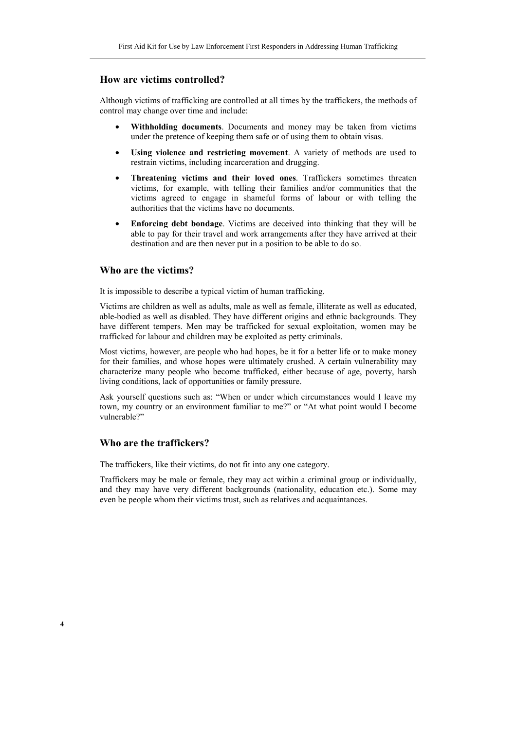#### **How are victims controlled?**

Although victims of trafficking are controlled at all times by the traffickers, the methods of control may change over time and include:

- **Withholding documents**. Documents and money may be taken from victims under the pretence of keeping them safe or of using them to obtain visas.
- Using violence and restricting movement. A variety of methods are used to restrain victims, including incarceration and drugging.
- **Threatening victims and their loved ones**. Traffickers sometimes threaten victims, for example, with telling their families and/or communities that the victims agreed to engage in shameful forms of labour or with telling the authorities that the victims have no documents.
- **Enforcing debt bondage**. Victims are deceived into thinking that they will be able to pay for their travel and work arrangements after they have arrived at their destination and are then never put in a position to be able to do so.

#### **Who are the victims?**

It is impossible to describe a typical victim of human trafficking.

Victims are children as well as adults, male as well as female, illiterate as well as educated, able-bodied as well as disabled. They have different origins and ethnic backgrounds. They have different tempers. Men may be trafficked for sexual exploitation, women may be trafficked for labour and children may be exploited as petty criminals.

Most victims, however, are people who had hopes, be it for a better life or to make money for their families, and whose hopes were ultimately crushed. A certain vulnerability may characterize many people who become trafficked, either because of age, poverty, harsh living conditions, lack of opportunities or family pressure.

Ask yourself questions such as: "When or under which circumstances would I leave my town, my country or an environment familiar to me?" or "At what point would I become vulnerable?"

#### **Who are the traffickers?**

The traffickers, like their victims, do not fit into any one category.

Traffickers may be male or female, they may act within a criminal group or individually, and they may have very different backgrounds (nationality, education etc.). Some may even be people whom their victims trust, such as relatives and acquaintances.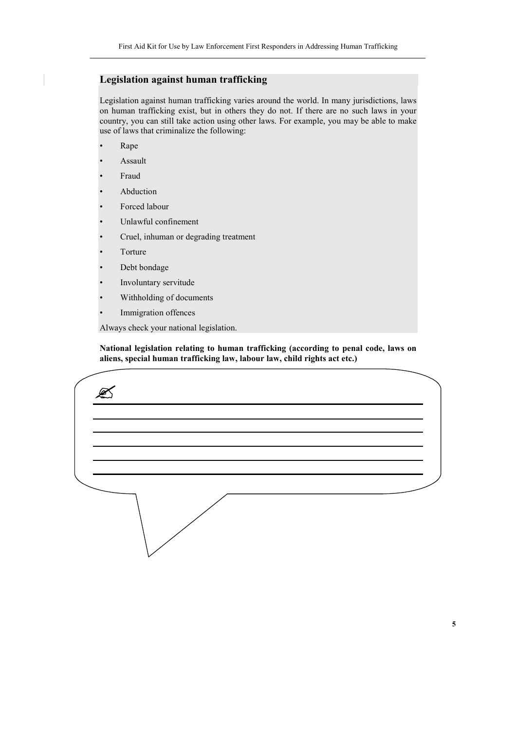#### **Legislation against human trafficking**

Legislation against human trafficking varies around the world. In many jurisdictions, laws on human trafficking exist, but in others they do not. If there are no such laws in your country, you can still take action using other laws. For example, you may be able to make use of laws that criminalize the following:

- Rape
- Assault
- Fraud
- **Abduction**
- Forced labour
- Unlawful confinement
- Cruel, inhuman or degrading treatment
- **Torture**
- Debt bondage
- Involuntary servitude
- Withholding of documents
- Immigration offences

Always check your national legislation.

**National legislation relating to human trafficking (according to penal code, laws on aliens, special human trafficking law, labour law, child rights act etc.)** 

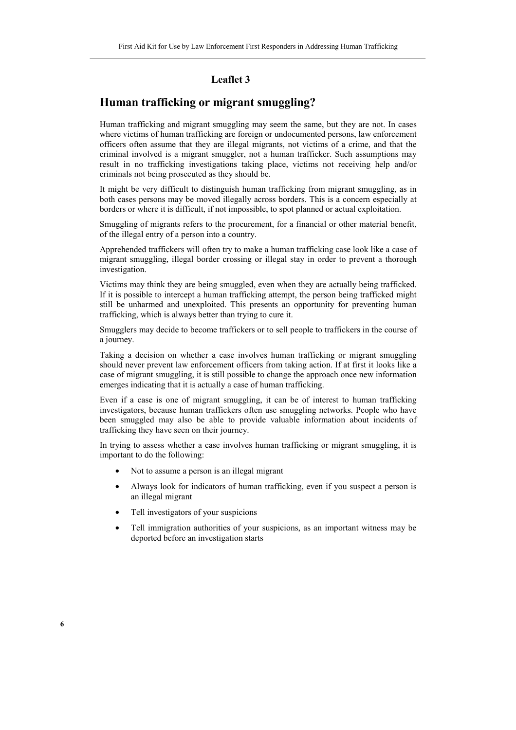# **Human trafficking or migrant smuggling?**

Human trafficking and migrant smuggling may seem the same, but they are not. In cases where victims of human trafficking are foreign or undocumented persons, law enforcement officers often assume that they are illegal migrants, not victims of a crime, and that the criminal involved is a migrant smuggler, not a human trafficker. Such assumptions may result in no trafficking investigations taking place, victims not receiving help and/or criminals not being prosecuted as they should be.

It might be very difficult to distinguish human trafficking from migrant smuggling, as in both cases persons may be moved illegally across borders. This is a concern especially at borders or where it is difficult, if not impossible, to spot planned or actual exploitation.

Smuggling of migrants refers to the procurement, for a financial or other material benefit, of the illegal entry of a person into a country.

Apprehended traffickers will often try to make a human trafficking case look like a case of migrant smuggling, illegal border crossing or illegal stay in order to prevent a thorough investigation.

Victims may think they are being smuggled, even when they are actually being trafficked. If it is possible to intercept a human trafficking attempt, the person being trafficked might still be unharmed and unexploited. This presents an opportunity for preventing human trafficking, which is always better than trying to cure it.

Smugglers may decide to become traffickers or to sell people to traffickers in the course of a journey.

Taking a decision on whether a case involves human trafficking or migrant smuggling should never prevent law enforcement officers from taking action. If at first it looks like a case of migrant smuggling, it is still possible to change the approach once new information emerges indicating that it is actually a case of human trafficking.

Even if a case is one of migrant smuggling, it can be of interest to human trafficking investigators, because human traffickers often use smuggling networks. People who have been smuggled may also be able to provide valuable information about incidents of trafficking they have seen on their journey.

In trying to assess whether a case involves human trafficking or migrant smuggling, it is important to do the following:

- Not to assume a person is an illegal migrant
- Always look for indicators of human trafficking, even if you suspect a person is an illegal migrant
- Tell investigators of your suspicions
- Tell immigration authorities of your suspicions, as an important witness may be deported before an investigation starts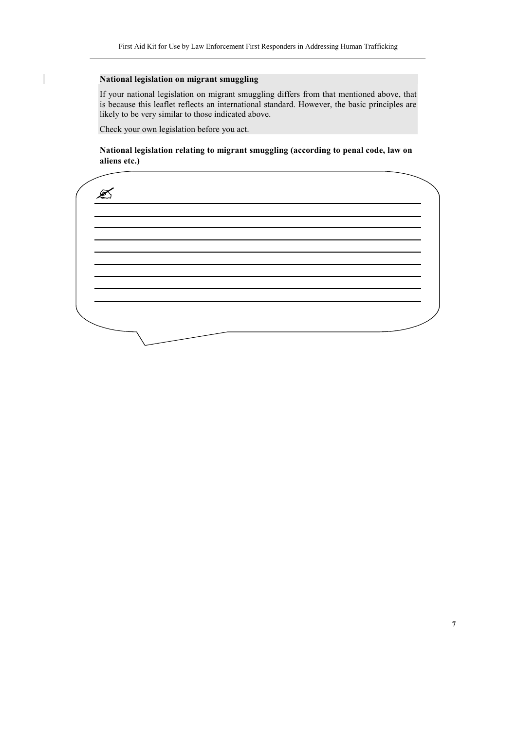#### **National legislation on migrant smuggling**

If your national legislation on migrant smuggling differs from that mentioned above, that is because this leaflet reflects an international standard. However, the basic principles are likely to be very similar to those indicated above.

Check your own legislation before you act.

 **National legislation relating to migrant smuggling (according to penal code, law on aliens etc.)** 

| Ł |  |  |
|---|--|--|
|   |  |  |
|   |  |  |
|   |  |  |
|   |  |  |
|   |  |  |
|   |  |  |
|   |  |  |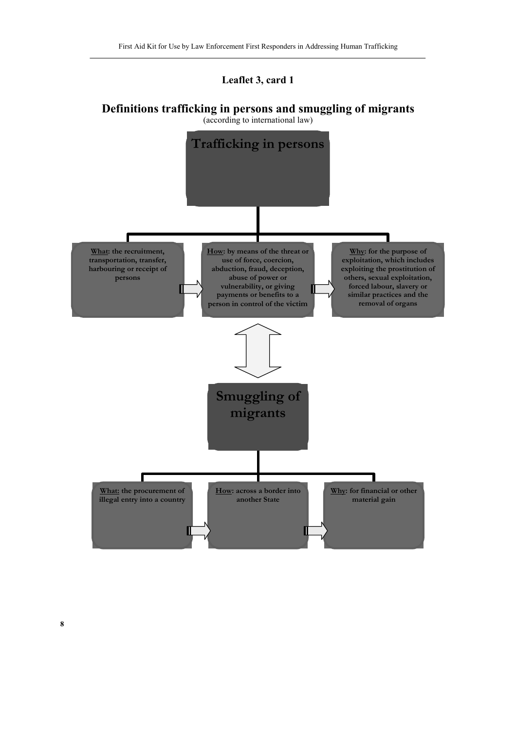# **Leaflet 3, card 1**

### **Definitions trafficking in persons and smuggling of migrants**  (according to international law)

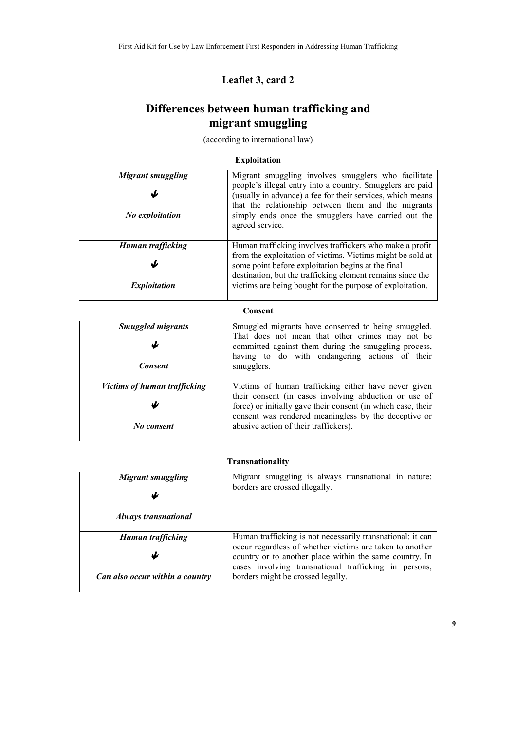# **Leaflet 3, card 2**

# **Differences between human trafficking and migrant smuggling**

(according to international law)

#### **Exploitation**

| Migrant smuggling<br>No exploitation            | Migrant smuggling involves smugglers who facilitate<br>people's illegal entry into a country. Smugglers are paid<br>(usually in advance) a fee for their services, which means<br>that the relationship between them and the migrants<br>simply ends once the smugglers have carried out the<br>agreed service. |
|-------------------------------------------------|-----------------------------------------------------------------------------------------------------------------------------------------------------------------------------------------------------------------------------------------------------------------------------------------------------------------|
| Human trafficking<br><i><b>Exploitation</b></i> | Human trafficking involves traffickers who make a profit<br>from the exploitation of victims. Victims might be sold at<br>some point before exploitation begins at the final<br>destination, but the trafficking element remains since the<br>victims are being bought for the purpose of exploitation.         |

#### **Consent**

| <b>Smuggled migrants</b>            | Smuggled migrants have consented to being smuggled.                                                                                                                           |
|-------------------------------------|-------------------------------------------------------------------------------------------------------------------------------------------------------------------------------|
|                                     | That does not mean that other crimes may not be<br>committed against them during the smuggling process,                                                                       |
| <b>Consent</b>                      | having to do with endangering actions of their<br>smugglers.                                                                                                                  |
| <i>Victims of human trafficking</i> | Victims of human trafficking either have never given                                                                                                                          |
|                                     | their consent (in cases involving abduction or use of<br>force) or initially gave their consent (in which case, their<br>consent was rendered meaningless by the deceptive or |
| No consent                          | abusive action of their traffickers).                                                                                                                                         |

### **Transnationality**

| Migrant smuggling                  | Migrant smuggling is always transnational in nature:                                                                |
|------------------------------------|---------------------------------------------------------------------------------------------------------------------|
|                                    | borders are crossed illegally.                                                                                      |
| <i><b>Always transnational</b></i> |                                                                                                                     |
| Human trafficking                  | Human trafficking is not necessarily transnational: it can                                                          |
|                                    | occur regardless of whether victims are taken to another<br>country or to another place within the same country. In |
| Can also occur within a country    | cases involving transnational trafficking in persons,<br>borders might be crossed legally.                          |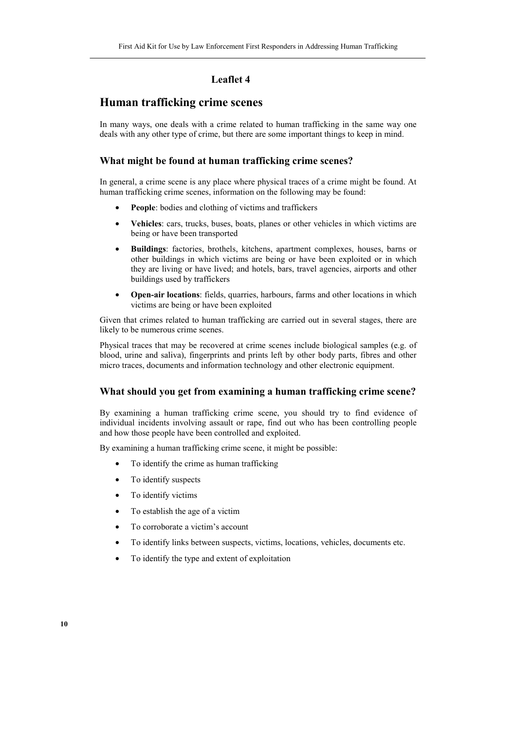# **Human trafficking crime scenes**

In many ways, one deals with a crime related to human trafficking in the same way one deals with any other type of crime, but there are some important things to keep in mind.

#### **What might be found at human trafficking crime scenes?**

In general, a crime scene is any place where physical traces of a crime might be found. At human trafficking crime scenes, information on the following may be found:

- People: bodies and clothing of victims and traffickers
- **Vehicles**: cars, trucks, buses, boats, planes or other vehicles in which victims are being or have been transported
- **Buildings**: factories, brothels, kitchens, apartment complexes, houses, barns or other buildings in which victims are being or have been exploited or in which they are living or have lived; and hotels, bars, travel agencies, airports and other buildings used by traffickers
- **Open-air locations**: fields, quarries, harbours, farms and other locations in which victims are being or have been exploited

Given that crimes related to human trafficking are carried out in several stages, there are likely to be numerous crime scenes.

Physical traces that may be recovered at crime scenes include biological samples (e.g. of blood, urine and saliva), fingerprints and prints left by other body parts, fibres and other micro traces, documents and information technology and other electronic equipment.

#### **What should you get from examining a human trafficking crime scene?**

By examining a human trafficking crime scene, you should try to find evidence of individual incidents involving assault or rape, find out who has been controlling people and how those people have been controlled and exploited.

By examining a human trafficking crime scene, it might be possible:

- To identify the crime as human trafficking
- To identify suspects
- To identify victims
- To establish the age of a victim
- To corroborate a victim's account
- To identify links between suspects, victims, locations, vehicles, documents etc.
- To identify the type and extent of exploitation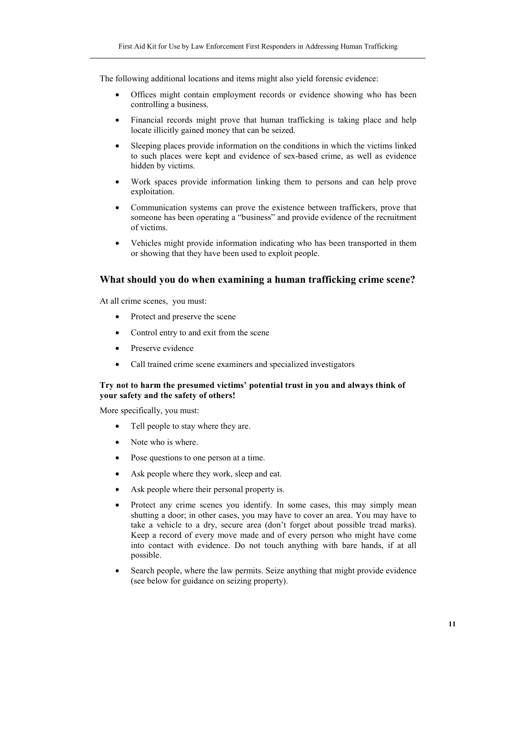The following additional locations and items might also yield forensic evidence:

- Offices might contain employment records or evidence showing who has been controlling a business.
- Financial records might prove that human trafficking is taking place and help locate illicitly gained money that can be seized.
- Sleeping places provide information on the conditions in which the victims linked to such places were kept and evidence of sex-based crime, as well as evidence hidden by victims.
- Work spaces provide information linking them to persons and can help prove exploitation.
- Communication systems can prove the existence between traffickers, prove that someone has been operating a "business" and provide evidence of the recruitment of victims.
- Vehicles might provide information indicating who has been transported in them or showing that they have been used to exploit people.

#### **What should you do when examining a human trafficking crime scene?**

At all crime scenes, you must:

- Protect and preserve the scene
- Control entry to and exit from the scene
- Preserve evidence
- Call trained crime scene examiners and specialized investigators

#### **Try not to harm the presumed victims' potential trust in you and always think of your safety and the safety of others!**

More specifically, you must:

- Tell people to stay where they are.
- Note who is where.
- Pose questions to one person at a time.
- Ask people where they work, sleep and eat.
- Ask people where their personal property is.
- Protect any crime scenes you identify. In some cases, this may simply mean shutting a door; in other cases, you may have to cover an area. You may have to take a vehicle to a dry, secure area (don't forget about possible tread marks). Keep a record of every move made and of every person who might have come into contact with evidence. Do not touch anything with bare hands, if at all possible.
- Search people, where the law permits. Seize anything that might provide evidence (see below for guidance on seizing property).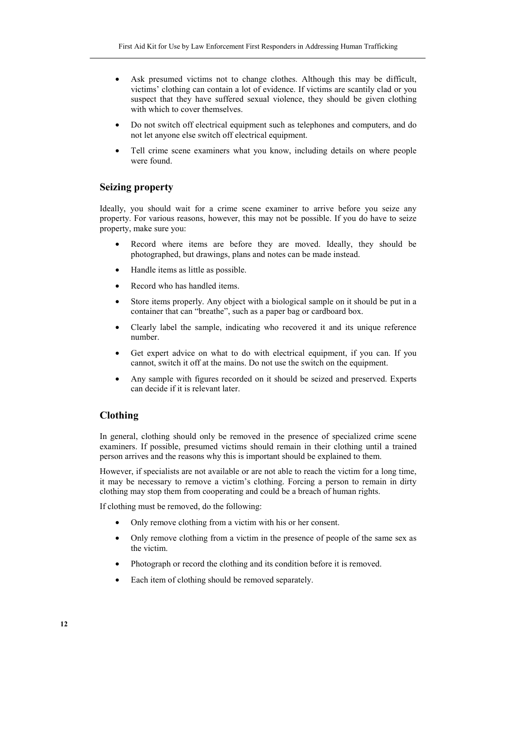- Ask presumed victims not to change clothes. Although this may be difficult, victims' clothing can contain a lot of evidence. If victims are scantily clad or you suspect that they have suffered sexual violence, they should be given clothing with which to cover themselves.
- Do not switch off electrical equipment such as telephones and computers, and do not let anyone else switch off electrical equipment.
- Tell crime scene examiners what you know, including details on where people were found.

#### **Seizing property**

Ideally, you should wait for a crime scene examiner to arrive before you seize any property. For various reasons, however, this may not be possible. If you do have to seize property, make sure you:

- Record where items are before they are moved. Ideally, they should be photographed, but drawings, plans and notes can be made instead.
- Handle items as little as possible.
- Record who has handled items.
- Store items properly. Any object with a biological sample on it should be put in a container that can "breathe", such as a paper bag or cardboard box.
- Clearly label the sample, indicating who recovered it and its unique reference number.
- Get expert advice on what to do with electrical equipment, if you can. If you cannot, switch it off at the mains. Do not use the switch on the equipment.
- Any sample with figures recorded on it should be seized and preserved. Experts can decide if it is relevant later.

#### **Clothing**

In general, clothing should only be removed in the presence of specialized crime scene examiners. If possible, presumed victims should remain in their clothing until a trained person arrives and the reasons why this is important should be explained to them.

However, if specialists are not available or are not able to reach the victim for a long time, it may be necessary to remove a victim's clothing. Forcing a person to remain in dirty clothing may stop them from cooperating and could be a breach of human rights.

If clothing must be removed, do the following:

- Only remove clothing from a victim with his or her consent.
- Only remove clothing from a victim in the presence of people of the same sex as the victim.
- Photograph or record the clothing and its condition before it is removed.
- Each item of clothing should be removed separately.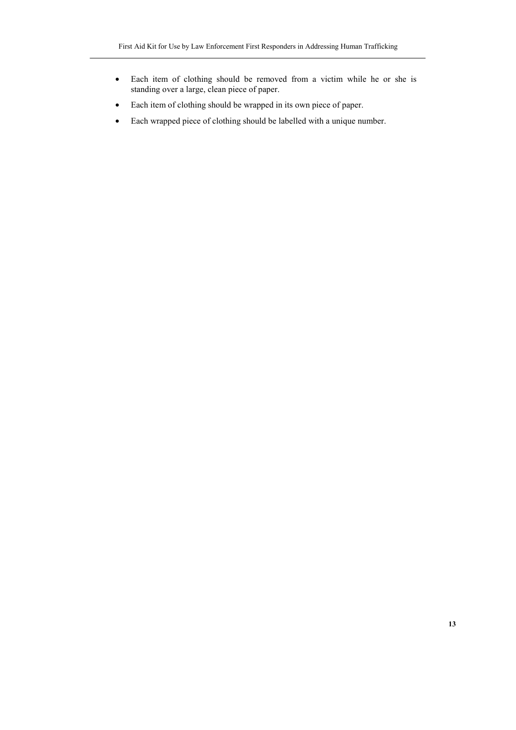- Each item of clothing should be removed from a victim while he or she is standing over a large, clean piece of paper.
- Each item of clothing should be wrapped in its own piece of paper.
- Each wrapped piece of clothing should be labelled with a unique number.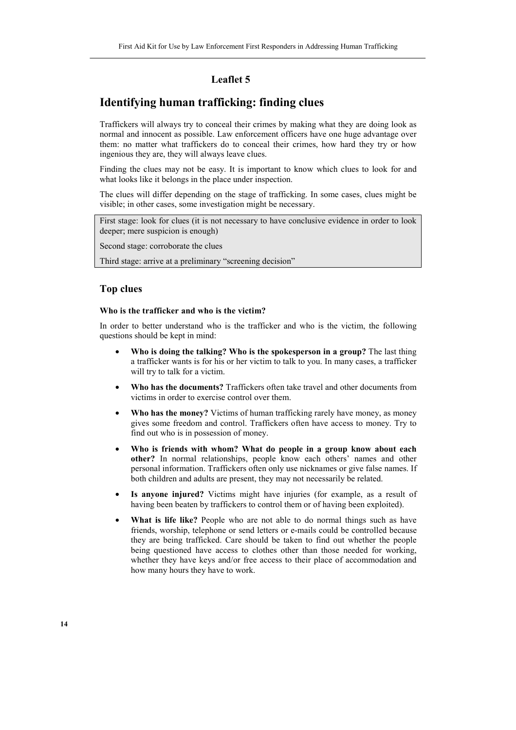# **Identifying human trafficking: finding clues**

Traffickers will always try to conceal their crimes by making what they are doing look as normal and innocent as possible. Law enforcement officers have one huge advantage over them: no matter what traffickers do to conceal their crimes, how hard they try or how ingenious they are, they will always leave clues.

Finding the clues may not be easy. It is important to know which clues to look for and what looks like it belongs in the place under inspection.

The clues will differ depending on the stage of trafficking. In some cases, clues might be visible; in other cases, some investigation might be necessary.

First stage: look for clues (it is not necessary to have conclusive evidence in order to look deeper; mere suspicion is enough)

Second stage: corroborate the clues

Third stage: arrive at a preliminary "screening decision"

#### **Top clues**

#### **Who is the trafficker and who is the victim?**

In order to better understand who is the trafficker and who is the victim, the following questions should be kept in mind:

- **Who is doing the talking? Who is the spokesperson in a group?** The last thing a trafficker wants is for his or her victim to talk to you. In many cases, a trafficker will try to talk for a victim.
- **Who has the documents?** Traffickers often take travel and other documents from victims in order to exercise control over them.
- **Who has the money?** Victims of human trafficking rarely have money, as money gives some freedom and control. Traffickers often have access to money. Try to find out who is in possession of money.
- **Who is friends with whom? What do people in a group know about each other?** In normal relationships, people know each others' names and other personal information. Traffickers often only use nicknames or give false names. If both children and adults are present, they may not necessarily be related.
- **Is anyone injured?** Victims might have injuries (for example, as a result of having been beaten by traffickers to control them or of having been exploited).
- **What is life like?** People who are not able to do normal things such as have friends, worship, telephone or send letters or e-mails could be controlled because they are being trafficked. Care should be taken to find out whether the people being questioned have access to clothes other than those needed for working, whether they have keys and/or free access to their place of accommodation and how many hours they have to work.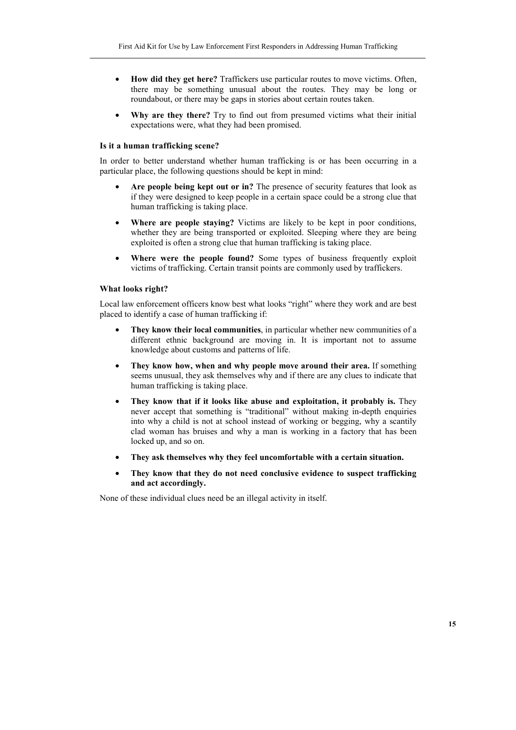- **How did they get here?** Traffickers use particular routes to move victims. Often, there may be something unusual about the routes. They may be long or roundabout, or there may be gaps in stories about certain routes taken.
- **Why are they there?** Try to find out from presumed victims what their initial expectations were, what they had been promised.

#### **Is it a human trafficking scene?**

In order to better understand whether human trafficking is or has been occurring in a particular place, the following questions should be kept in mind:

- Are people being kept out or in? The presence of security features that look as if they were designed to keep people in a certain space could be a strong clue that human trafficking is taking place.
- **Where are people staying?** Victims are likely to be kept in poor conditions, whether they are being transported or exploited. Sleeping where they are being exploited is often a strong clue that human trafficking is taking place.
- **Where were the people found?** Some types of business frequently exploit victims of trafficking. Certain transit points are commonly used by traffickers.

#### **What looks right?**

Local law enforcement officers know best what looks "right" where they work and are best placed to identify a case of human trafficking if:

- **They know their local communities**, in particular whether new communities of a different ethnic background are moving in. It is important not to assume knowledge about customs and patterns of life.
- **They know how, when and why people move around their area.** If something seems unusual, they ask themselves why and if there are any clues to indicate that human trafficking is taking place.
- **They know that if it looks like abuse and exploitation, it probably is.** They never accept that something is "traditional" without making in-depth enquiries into why a child is not at school instead of working or begging, why a scantily clad woman has bruises and why a man is working in a factory that has been locked up, and so on.
- **They ask themselves why they feel uncomfortable with a certain situation.**
- **They know that they do not need conclusive evidence to suspect trafficking and act accordingly.**

None of these individual clues need be an illegal activity in itself.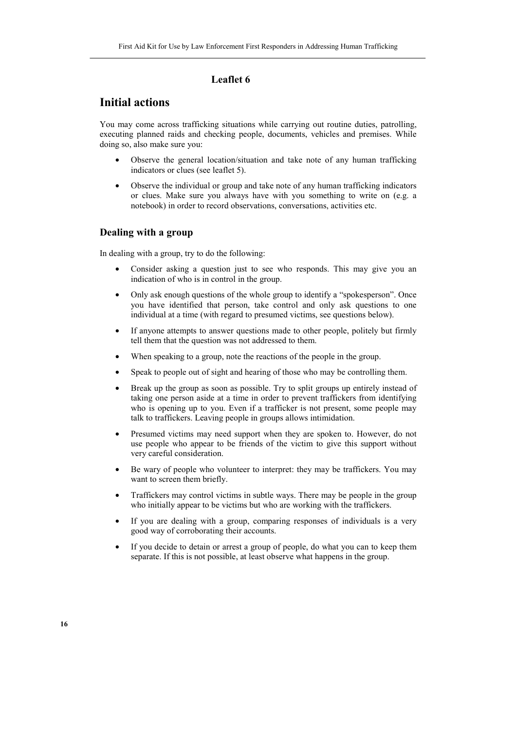# **Initial actions**

You may come across trafficking situations while carrying out routine duties, patrolling, executing planned raids and checking people, documents, vehicles and premises. While doing so, also make sure you:

- Observe the general location/situation and take note of any human trafficking indicators or clues (see leaflet 5).
- Observe the individual or group and take note of any human trafficking indicators or clues. Make sure you always have with you something to write on (e.g. a notebook) in order to record observations, conversations, activities etc.

#### **Dealing with a group**

In dealing with a group, try to do the following:

- Consider asking a question just to see who responds. This may give you an indication of who is in control in the group.
- Only ask enough questions of the whole group to identify a "spokesperson". Once you have identified that person, take control and only ask questions to one individual at a time (with regard to presumed victims, see questions below).
- If anyone attempts to answer questions made to other people, politely but firmly tell them that the question was not addressed to them.
- When speaking to a group, note the reactions of the people in the group.
- Speak to people out of sight and hearing of those who may be controlling them.
- Break up the group as soon as possible. Try to split groups up entirely instead of taking one person aside at a time in order to prevent traffickers from identifying who is opening up to you. Even if a trafficker is not present, some people may talk to traffickers. Leaving people in groups allows intimidation.
- Presumed victims may need support when they are spoken to. However, do not use people who appear to be friends of the victim to give this support without very careful consideration.
- Be wary of people who volunteer to interpret: they may be traffickers. You may want to screen them briefly.
- Traffickers may control victims in subtle ways. There may be people in the group who initially appear to be victims but who are working with the traffickers.
- If you are dealing with a group, comparing responses of individuals is a very good way of corroborating their accounts.
- If you decide to detain or arrest a group of people, do what you can to keep them separate. If this is not possible, at least observe what happens in the group.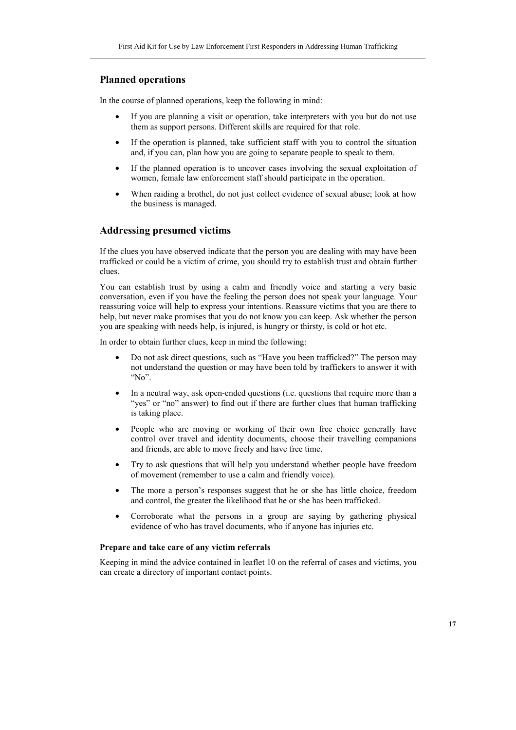#### **Planned operations**

In the course of planned operations, keep the following in mind:

- If you are planning a visit or operation, take interpreters with you but do not use them as support persons. Different skills are required for that role.
- If the operation is planned, take sufficient staff with you to control the situation and, if you can, plan how you are going to separate people to speak to them.
- If the planned operation is to uncover cases involving the sexual exploitation of women, female law enforcement staff should participate in the operation.
- When raiding a brothel, do not just collect evidence of sexual abuse; look at how the business is managed.

#### **Addressing presumed victims**

If the clues you have observed indicate that the person you are dealing with may have been trafficked or could be a victim of crime, you should try to establish trust and obtain further clues.

You can establish trust by using a calm and friendly voice and starting a very basic conversation, even if you have the feeling the person does not speak your language. Your reassuring voice will help to express your intentions. Reassure victims that you are there to help, but never make promises that you do not know you can keep. Ask whether the person you are speaking with needs help, is injured, is hungry or thirsty, is cold or hot etc.

In order to obtain further clues, keep in mind the following:

- Do not ask direct questions, such as "Have you been trafficked?" The person may not understand the question or may have been told by traffickers to answer it with "No".
- In a neutral way, ask open-ended questions (i.e. questions that require more than a "yes" or "no" answer) to find out if there are further clues that human trafficking is taking place.
- People who are moving or working of their own free choice generally have control over travel and identity documents, choose their travelling companions and friends, are able to move freely and have free time.
- Try to ask questions that will help you understand whether people have freedom of movement (remember to use a calm and friendly voice).
- The more a person's responses suggest that he or she has little choice, freedom and control, the greater the likelihood that he or she has been trafficked.
- Corroborate what the persons in a group are saying by gathering physical evidence of who has travel documents, who if anyone has injuries etc.

#### **Prepare and take care of any victim referrals**

Keeping in mind the advice contained in leaflet 10 on the referral of cases and victims, you can create a directory of important contact points.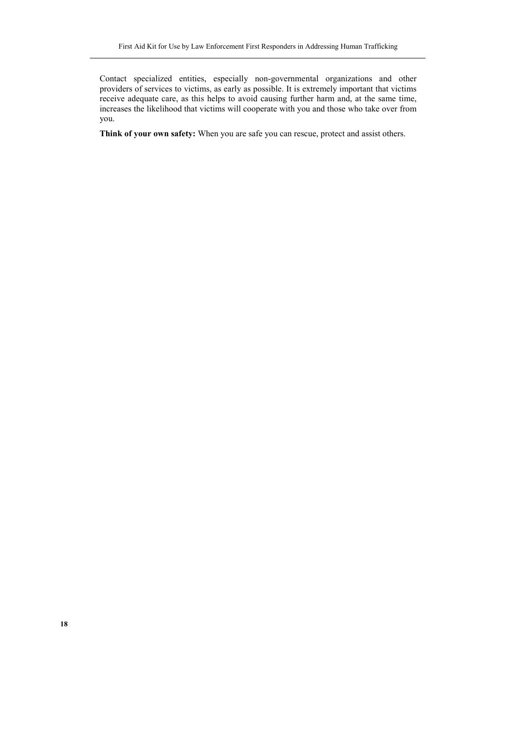Contact specialized entities, especially non-governmental organizations and other providers of services to victims, as early as possible. It is extremely important that victims receive adequate care, as this helps to avoid causing further harm and, at the same time, increases the likelihood that victims will cooperate with you and those who take over from you.

**Think of your own safety:** When you are safe you can rescue, protect and assist others.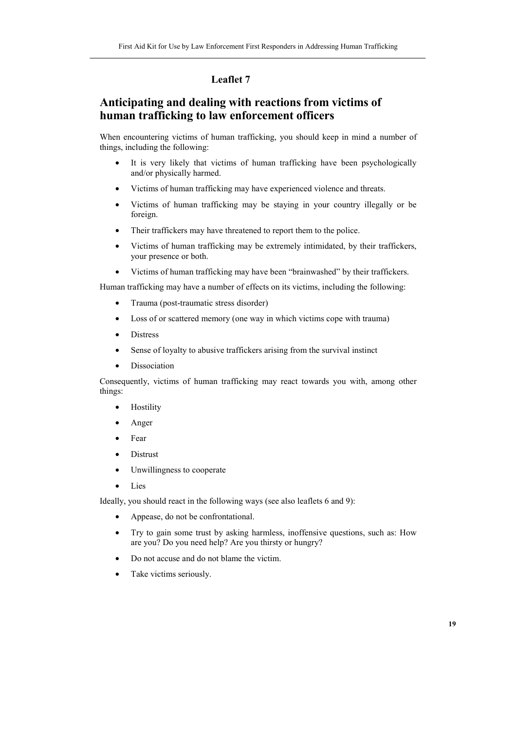# **Anticipating and dealing with reactions from victims of human trafficking to law enforcement officers**

When encountering victims of human trafficking, you should keep in mind a number of things, including the following:

- It is very likely that victims of human trafficking have been psychologically and/or physically harmed.
- Victims of human trafficking may have experienced violence and threats.
- Victims of human trafficking may be staying in your country illegally or be foreign.
- Their traffickers may have threatened to report them to the police.
- Victims of human trafficking may be extremely intimidated, by their traffickers, your presence or both.
- Victims of human trafficking may have been "brainwashed" by their traffickers.

Human trafficking may have a number of effects on its victims, including the following:

- Trauma (post-traumatic stress disorder)
- Loss of or scattered memory (one way in which victims cope with trauma)
- Distress
- Sense of loyalty to abusive traffickers arising from the survival instinct
- **Dissociation**

Consequently, victims of human trafficking may react towards you with, among other things:

- **Hostility**
- Anger
- Fear
- Distrust
- Unwillingness to cooperate
- Lies

Ideally, you should react in the following ways (see also leaflets 6 and 9):

- Appease, do not be confrontational.
- Try to gain some trust by asking harmless, inoffensive questions, such as: How are you? Do you need help? Are you thirsty or hungry?
- Do not accuse and do not blame the victim.
- Take victims seriously.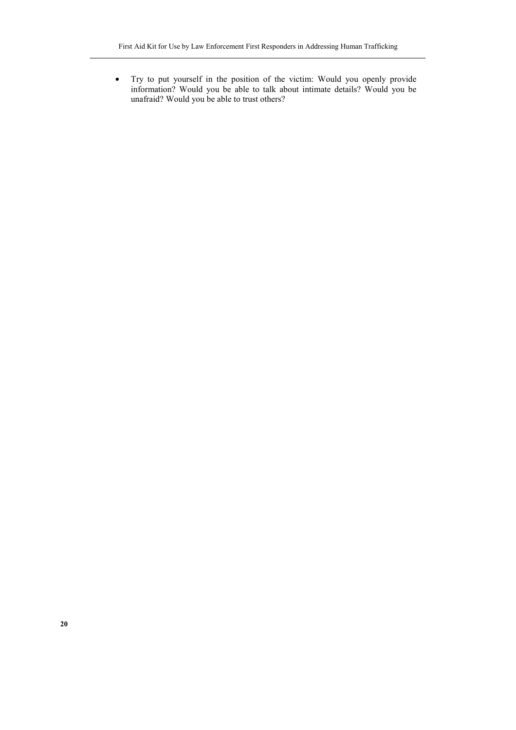• Try to put yourself in the position of the victim: Would you openly provide information? Would you be able to talk about intimate details? Would you be unafraid? Would you be able to trust others?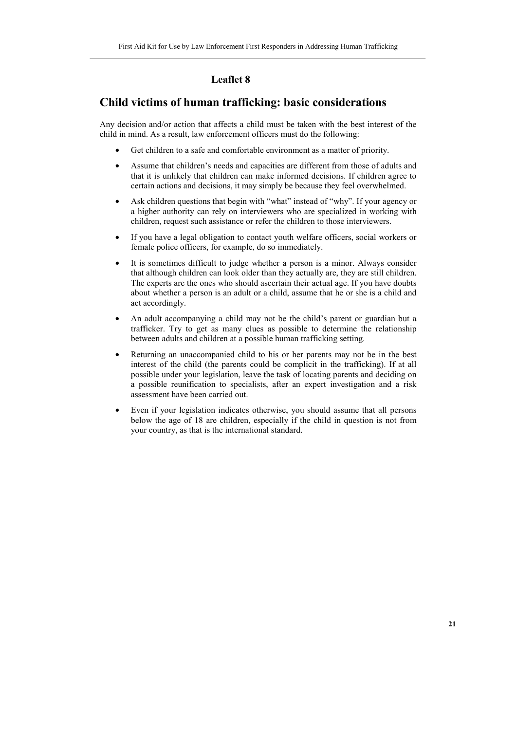# **Child victims of human trafficking: basic considerations**

Any decision and/or action that affects a child must be taken with the best interest of the child in mind. As a result, law enforcement officers must do the following:

- Get children to a safe and comfortable environment as a matter of priority.
- Assume that children's needs and capacities are different from those of adults and that it is unlikely that children can make informed decisions. If children agree to certain actions and decisions, it may simply be because they feel overwhelmed.
- Ask children questions that begin with "what" instead of "why". If your agency or a higher authority can rely on interviewers who are specialized in working with children, request such assistance or refer the children to those interviewers.
- If you have a legal obligation to contact youth welfare officers, social workers or female police officers, for example, do so immediately.
- It is sometimes difficult to judge whether a person is a minor. Always consider that although children can look older than they actually are, they are still children. The experts are the ones who should ascertain their actual age. If you have doubts about whether a person is an adult or a child, assume that he or she is a child and act accordingly.
- An adult accompanying a child may not be the child's parent or guardian but a trafficker. Try to get as many clues as possible to determine the relationship between adults and children at a possible human trafficking setting.
- Returning an unaccompanied child to his or her parents may not be in the best interest of the child (the parents could be complicit in the trafficking). If at all possible under your legislation, leave the task of locating parents and deciding on a possible reunification to specialists, after an expert investigation and a risk assessment have been carried out.
- Even if your legislation indicates otherwise, you should assume that all persons below the age of 18 are children, especially if the child in question is not from your country, as that is the international standard.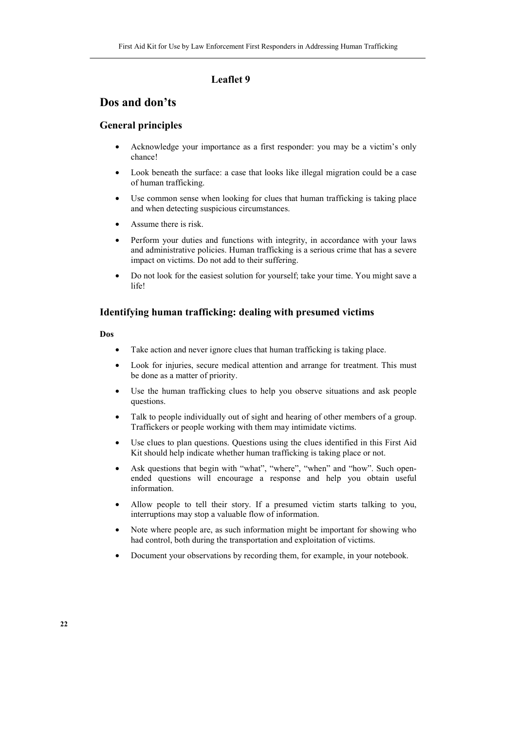# **Dos and don'ts**

#### **General principles**

- Acknowledge your importance as a first responder: you may be a victim's only chance!
- Look beneath the surface: a case that looks like illegal migration could be a case of human trafficking.
- Use common sense when looking for clues that human trafficking is taking place and when detecting suspicious circumstances.
- Assume there is risk.
- Perform your duties and functions with integrity, in accordance with your laws and administrative policies. Human trafficking is a serious crime that has a severe impact on victims. Do not add to their suffering.
- Do not look for the easiest solution for yourself; take your time. You might save a life!

#### **Identifying human trafficking: dealing with presumed victims**

#### **Dos**

- Take action and never ignore clues that human trafficking is taking place.
- Look for injuries, secure medical attention and arrange for treatment. This must be done as a matter of priority.
- Use the human trafficking clues to help you observe situations and ask people questions.
- Talk to people individually out of sight and hearing of other members of a group. Traffickers or people working with them may intimidate victims.
- Use clues to plan questions. Questions using the clues identified in this First Aid Kit should help indicate whether human trafficking is taking place or not.
- Ask questions that begin with "what", "where", "when" and "how". Such openended questions will encourage a response and help you obtain useful information.
- Allow people to tell their story. If a presumed victim starts talking to you, interruptions may stop a valuable flow of information.
- Note where people are, as such information might be important for showing who had control, both during the transportation and exploitation of victims.
- Document your observations by recording them, for example, in your notebook.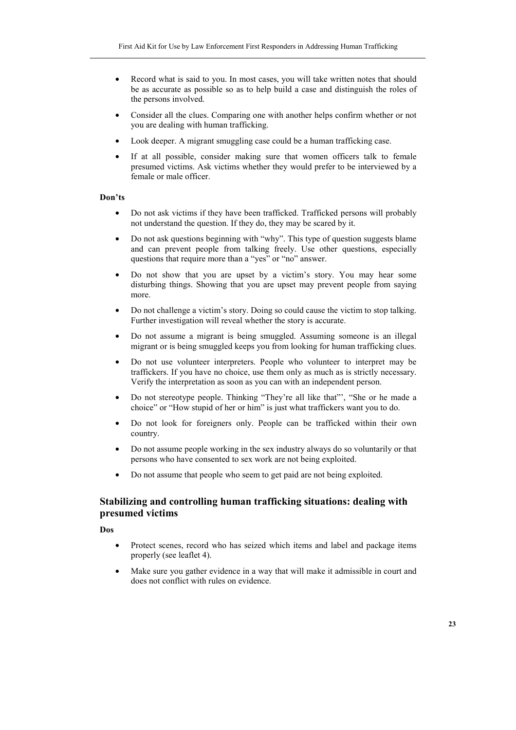- Record what is said to you. In most cases, you will take written notes that should be as accurate as possible so as to help build a case and distinguish the roles of the persons involved.
- Consider all the clues. Comparing one with another helps confirm whether or not you are dealing with human trafficking.
- Look deeper. A migrant smuggling case could be a human trafficking case.
- If at all possible, consider making sure that women officers talk to female presumed victims. Ask victims whether they would prefer to be interviewed by a female or male officer.

#### **Don'ts**

- Do not ask victims if they have been trafficked. Trafficked persons will probably not understand the question. If they do, they may be scared by it.
- Do not ask questions beginning with "why". This type of question suggests blame and can prevent people from talking freely. Use other questions, especially questions that require more than a "yes" or "no" answer.
- Do not show that you are upset by a victim's story. You may hear some disturbing things. Showing that you are upset may prevent people from saying more.
- Do not challenge a victim's story. Doing so could cause the victim to stop talking. Further investigation will reveal whether the story is accurate.
- Do not assume a migrant is being smuggled. Assuming someone is an illegal migrant or is being smuggled keeps you from looking for human trafficking clues.
- Do not use volunteer interpreters. People who volunteer to interpret may be traffickers. If you have no choice, use them only as much as is strictly necessary. Verify the interpretation as soon as you can with an independent person.
- Do not stereotype people. Thinking "They're all like that"', "She or he made a choice" or "How stupid of her or him" is just what traffickers want you to do.
- Do not look for foreigners only. People can be trafficked within their own country.
- Do not assume people working in the sex industry always do so voluntarily or that persons who have consented to sex work are not being exploited.
- Do not assume that people who seem to get paid are not being exploited.

## **Stabilizing and controlling human trafficking situations: dealing with presumed victims**

 **Dos** 

- Protect scenes, record who has seized which items and label and package items properly (see leaflet 4).
- Make sure you gather evidence in a way that will make it admissible in court and does not conflict with rules on evidence.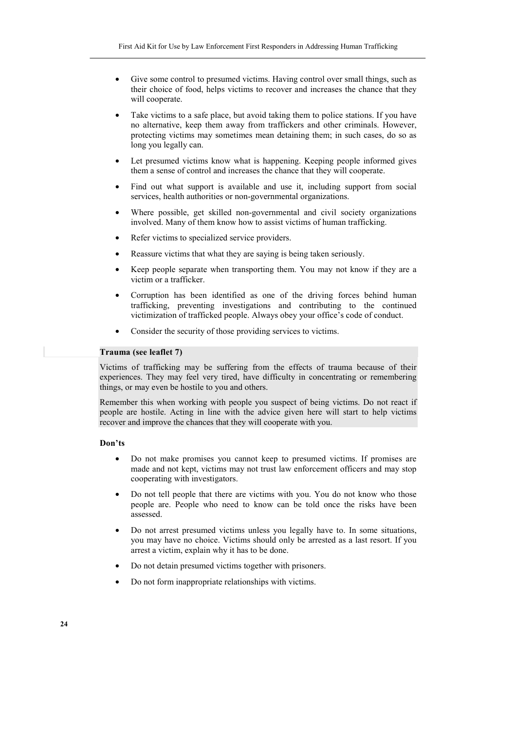- Give some control to presumed victims. Having control over small things, such as their choice of food, helps victims to recover and increases the chance that they will cooperate.
- Take victims to a safe place, but avoid taking them to police stations. If you have no alternative, keep them away from traffickers and other criminals. However, protecting victims may sometimes mean detaining them; in such cases, do so as long you legally can.
- Let presumed victims know what is happening. Keeping people informed gives them a sense of control and increases the chance that they will cooperate.
- Find out what support is available and use it, including support from social services, health authorities or non-governmental organizations.
- Where possible, get skilled non-governmental and civil society organizations involved. Many of them know how to assist victims of human trafficking.
- Refer victims to specialized service providers.
- Reassure victims that what they are saying is being taken seriously.
- Keep people separate when transporting them. You may not know if they are a victim or a trafficker.
- Corruption has been identified as one of the driving forces behind human trafficking, preventing investigations and contributing to the continued victimization of trafficked people. Always obey your office's code of conduct.
- Consider the security of those providing services to victims.

#### **Trauma (see leaflet 7)**

Victims of trafficking may be suffering from the effects of trauma because of their experiences. They may feel very tired, have difficulty in concentrating or remembering things, or may even be hostile to you and others.

Remember this when working with people you suspect of being victims. Do not react if people are hostile. Acting in line with the advice given here will start to help victims recover and improve the chances that they will cooperate with you.

#### **Don'ts**

- Do not make promises you cannot keep to presumed victims. If promises are made and not kept, victims may not trust law enforcement officers and may stop cooperating with investigators.
- Do not tell people that there are victims with you. You do not know who those people are. People who need to know can be told once the risks have been assessed.
- Do not arrest presumed victims unless you legally have to. In some situations, you may have no choice. Victims should only be arrested as a last resort. If you arrest a victim, explain why it has to be done.
- Do not detain presumed victims together with prisoners.
- Do not form inappropriate relationships with victims.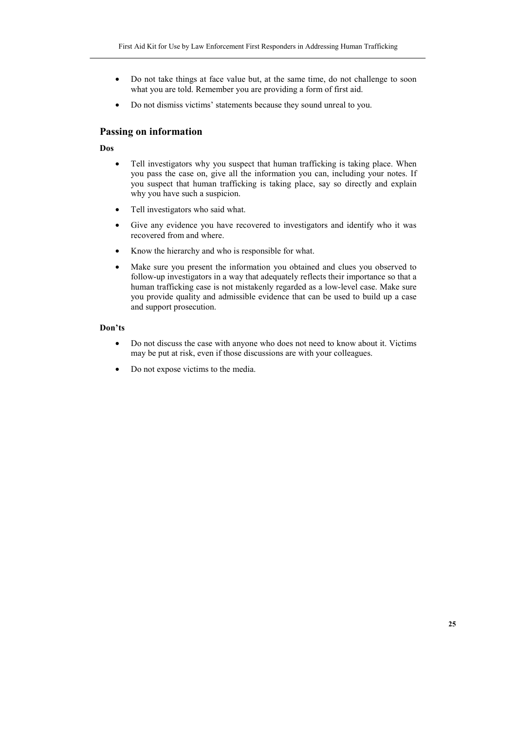- Do not take things at face value but, at the same time, do not challenge to soon what you are told. Remember you are providing a form of first aid.
- Do not dismiss victims' statements because they sound unreal to you.

#### **Passing on information**

 **Dos** 

- Tell investigators why you suspect that human trafficking is taking place. When you pass the case on, give all the information you can, including your notes. If you suspect that human trafficking is taking place, say so directly and explain why you have such a suspicion.
- Tell investigators who said what.
- Give any evidence you have recovered to investigators and identify who it was recovered from and where.
- Know the hierarchy and who is responsible for what.
- Make sure you present the information you obtained and clues you observed to follow-up investigators in a way that adequately reflects their importance so that a human trafficking case is not mistakenly regarded as a low-level case. Make sure you provide quality and admissible evidence that can be used to build up a case and support prosecution.

#### **Don'ts**

- Do not discuss the case with anyone who does not need to know about it. Victims may be put at risk, even if those discussions are with your colleagues.
- Do not expose victims to the media.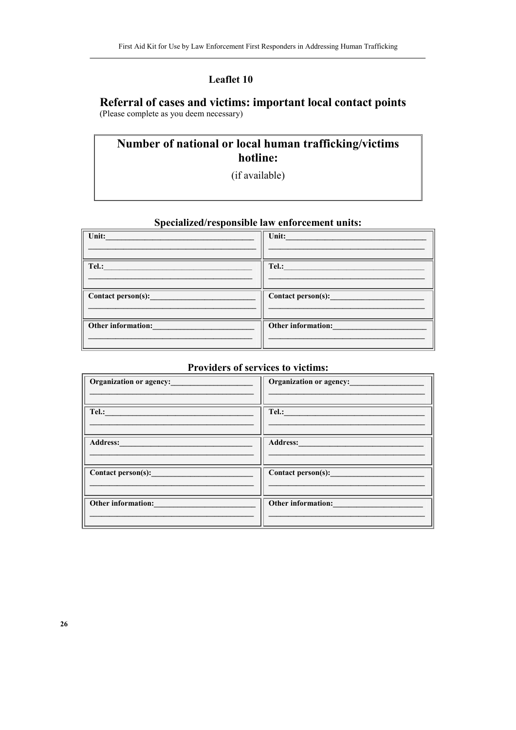# Referral of cases and victims: important local contact points (Please complete as you deem necessary)

# Number of national or local human trafficking/victims hotline:

(if available)

# Specialized/responsible law enforcement units:

| Unit:              | Unit:              |
|--------------------|--------------------|
| Tel.:              |                    |
|                    | Contact person(s): |
| Other information: | Other information: |

### Providers of services to victims:

| Organization or agency: | Organization or agency:                                                                                                                                                                                                        |
|-------------------------|--------------------------------------------------------------------------------------------------------------------------------------------------------------------------------------------------------------------------------|
| Tel.:                   | Tel.: The Telectrical Contract of the Telectrical Contract of the Telectrical Contract of the Telectrical Contract of the Telectrical Contract of the Telectrical Contract of the Telectrical Contract of the Telectrical Cont |
| Address:                | Address: 1988 and 1988 and 1988 and 1988 and 1988 and 1988 and 1988 and 1988 and 1988 and 1988 and 1988 and 19                                                                                                                 |
| Contact person(s):      |                                                                                                                                                                                                                                |
| Other information:      | Other information:                                                                                                                                                                                                             |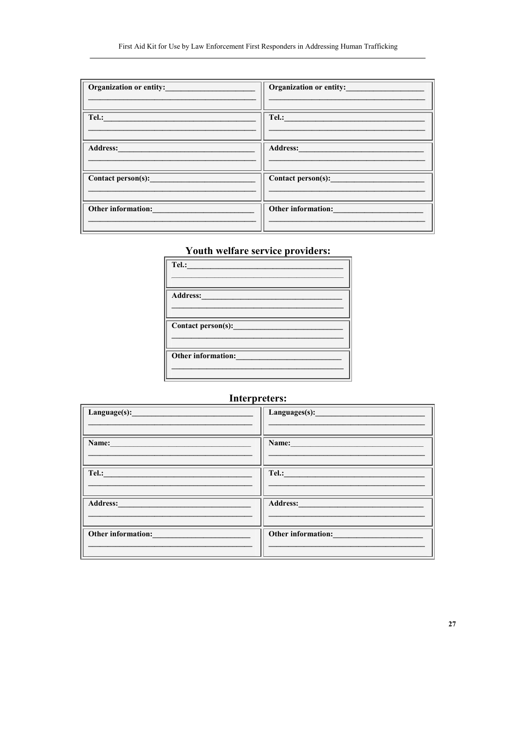| Organization or entity:                                                                                                                                                                                                        | <b>Organization or entity:</b> |
|--------------------------------------------------------------------------------------------------------------------------------------------------------------------------------------------------------------------------------|--------------------------------|
| Tel.: The contract of the contract of the contract of the contract of the contract of the contract of the contract of the contract of the contract of the contract of the contract of the contract of the contract of the cont |                                |
| Address: March 2014                                                                                                                                                                                                            |                                |
|                                                                                                                                                                                                                                | Contact person(s):             |
| Other information:                                                                                                                                                                                                             | Other information:             |

# Youth welfare service providers:

| Address: Management of the Address: |
|-------------------------------------|
| Contact person(s):                  |
|                                     |
|                                     |
| Other information:                  |

# Interpreters:

| Language(s):                                                                                                                                                                                                                   |                    |
|--------------------------------------------------------------------------------------------------------------------------------------------------------------------------------------------------------------------------------|--------------------|
| Name:                                                                                                                                                                                                                          | Name:              |
| Tel.:                                                                                                                                                                                                                          | Tel.:              |
| Address: No. 1996. The Committee of the Committee of the Committee of the Committee of the Committee of the Committee of the Committee of the Committee of the Committee of the Committee of the Committee of the Committee of |                    |
| Other information:                                                                                                                                                                                                             | Other information: |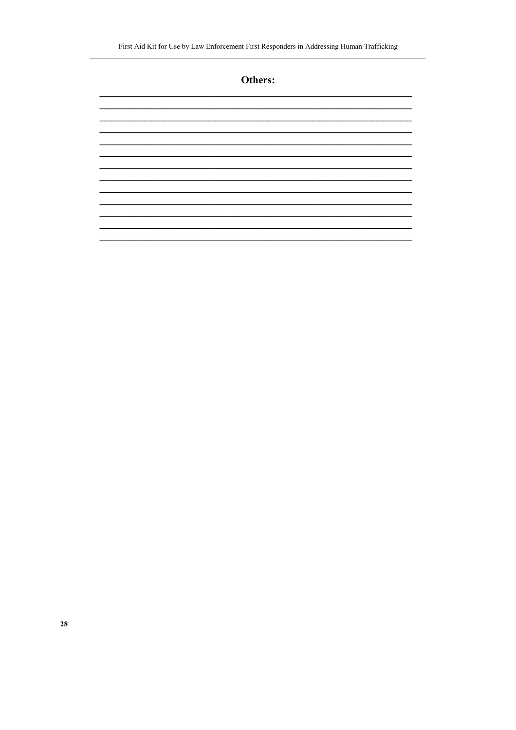## Others:

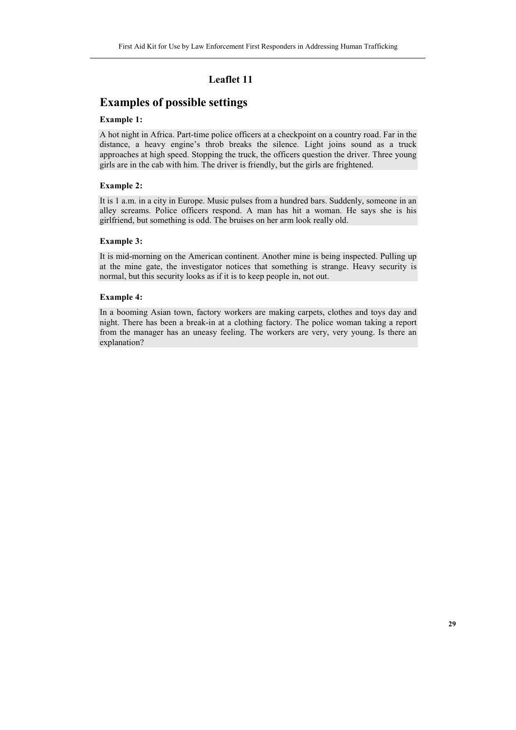# **Examples of possible settings**

#### **Example 1:**

A hot night in Africa. Part-time police officers at a checkpoint on a country road. Far in the distance, a heavy engine's throb breaks the silence. Light joins sound as a truck approaches at high speed. Stopping the truck, the officers question the driver. Three young girls are in the cab with him. The driver is friendly, but the girls are frightened.

#### **Example 2:**

It is 1 a.m. in a city in Europe. Music pulses from a hundred bars. Suddenly, someone in an alley screams. Police officers respond. A man has hit a woman. He says she is his girlfriend, but something is odd. The bruises on her arm look really old.

#### **Example 3:**

It is mid-morning on the American continent. Another mine is being inspected. Pulling up at the mine gate, the investigator notices that something is strange. Heavy security is normal, but this security looks as if it is to keep people in, not out.

#### **Example 4:**

In a booming Asian town, factory workers are making carpets, clothes and toys day and night. There has been a break-in at a clothing factory. The police woman taking a report from the manager has an uneasy feeling. The workers are very, very young. Is there an explanation?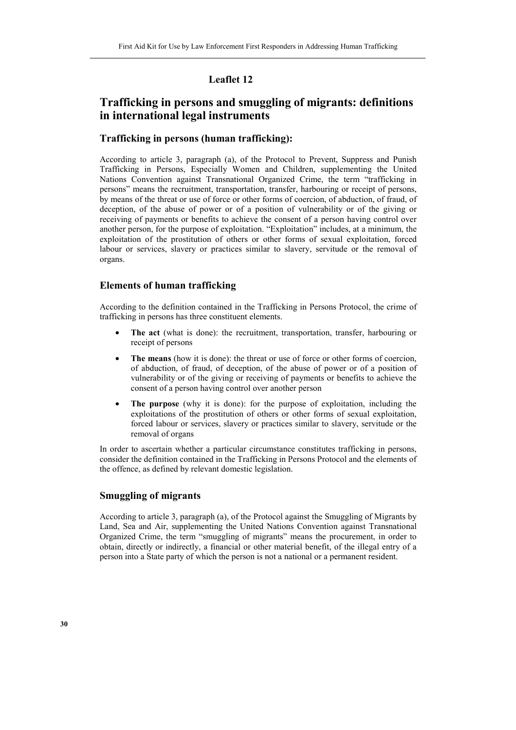# **Trafficking in persons and smuggling of migrants: definitions in international legal instruments**

#### **Trafficking in persons (human trafficking):**

According to article 3, paragraph (a), of the Protocol to Prevent, Suppress and Punish Trafficking in Persons, Especially Women and Children, supplementing the United Nations Convention against Transnational Organized Crime, the term "trafficking in persons" means the recruitment, transportation, transfer, harbouring or receipt of persons, by means of the threat or use of force or other forms of coercion, of abduction, of fraud, of deception, of the abuse of power or of a position of vulnerability or of the giving or receiving of payments or benefits to achieve the consent of a person having control over another person, for the purpose of exploitation. "Exploitation" includes, at a minimum, the exploitation of the prostitution of others or other forms of sexual exploitation, forced labour or services, slavery or practices similar to slavery, servitude or the removal of organs.

#### **Elements of human trafficking**

According to the definition contained in the Trafficking in Persons Protocol, the crime of trafficking in persons has three constituent elements.

- The act (what is done): the recruitment, transportation, transfer, harbouring or receipt of persons
- The means (how it is done): the threat or use of force or other forms of coercion, of abduction, of fraud, of deception, of the abuse of power or of a position of vulnerability or of the giving or receiving of payments or benefits to achieve the consent of a person having control over another person
- **The purpose** (why it is done): for the purpose of exploitation, including the exploitations of the prostitution of others or other forms of sexual exploitation, forced labour or services, slavery or practices similar to slavery, servitude or the removal of organs

In order to ascertain whether a particular circumstance constitutes trafficking in persons, consider the definition contained in the Trafficking in Persons Protocol and the elements of the offence, as defined by relevant domestic legislation.

#### **Smuggling of migrants**

According to article 3, paragraph (a), of the Protocol against the Smuggling of Migrants by Land, Sea and Air, supplementing the United Nations Convention against Transnational Organized Crime, the term "smuggling of migrants" means the procurement, in order to obtain, directly or indirectly, a financial or other material benefit, of the illegal entry of a person into a State party of which the person is not a national or a permanent resident.